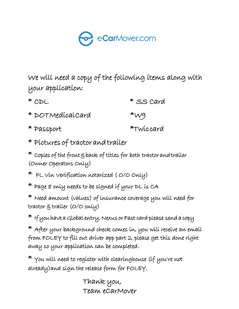

We will need a copy of the following items along with your application:

| $*$ CDL          | * SS Card |
|------------------|-----------|
| * DOTMedicalCard | $*_{W9}$  |
| * Passport       | *Twiccard |

\* Pictures of tractor and trailer

 $*$  Copies of the front  $\xi$  back of titles for both tractor and trailer (Owner Operators Only)

- \* FL Vin Verification notarized ( O/O Only)
- \* Page 8 only needs to be signed if your DL is CA

 $*$  Need amount (values) of insurance coverage you will need for tractor & trailer (O/O only)

 $*$  If you have a Global entry, Nexus or Fast card please send a copy

\* After your background check comes in, you will receive an email from FOLEY to fill out driver app part 2, please get this done right away so your application can be completed.

 $*$  You will need to register with clearinghouse (if you're not already)and sign the release form for FOLEY.

> Thank you, Team eCarMover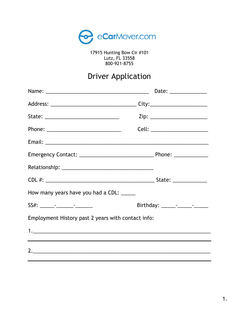

17915 Hunting Bow Cir #101<br>Lutz, FL 33558 800-921-8755

# **Driver Application**

| How many years have you had a CDL: _____           |  |
|----------------------------------------------------|--|
|                                                    |  |
| Employment History past 2 years with contact info: |  |
|                                                    |  |
|                                                    |  |
| 2.                                                 |  |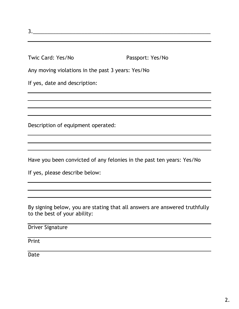3.

Twic Card: Yes/No Passport: Yes/No

Any moving violations in the past 3 years: Yes/No

If yes, date and description:

Description of equipment operated:

Have you been convicted of any felonies in the past ten years: Yes/No

and the control of the control of the control of the control of the control of the control of the control of the

If yes, please describe below:

By signing below, you are stating that all answers are answered truthfully to the best of your ability:

| <b>Driver Signature</b> |  |  |  |  |
|-------------------------|--|--|--|--|
|                         |  |  |  |  |
| Print                   |  |  |  |  |
|                         |  |  |  |  |
| Date                    |  |  |  |  |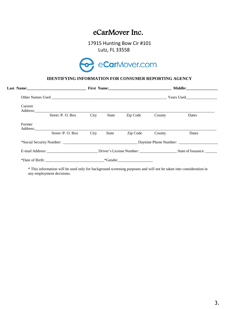### eCarMover Inc.

 17915 Hunting Bow Cir #101 Lutz, FL 33558



#### **IDENTIFYING INFORMATION FOR CONSUMER REPORTING AGENCY**

|         |                      |      |              | First Name: 2008. [2010] [2010] [2010] [2010] [2010] [2010] [2010] [2010] [2010] [2010] [2010] [2010] [2010] [ |        | Middle: |
|---------|----------------------|------|--------------|----------------------------------------------------------------------------------------------------------------|--------|---------|
|         |                      |      |              |                                                                                                                |        |         |
| Current |                      |      |              |                                                                                                                |        |         |
|         | Street $/P$ . O. Box | City | <b>State</b> | Zip Code                                                                                                       | County | Dates   |
| Former  |                      |      |              |                                                                                                                |        |         |
|         | Street $/P$ . O. Box | City | State        | Zip Code                                                                                                       | County | Dates   |
|         |                      |      |              |                                                                                                                |        |         |
|         |                      |      |              |                                                                                                                |        |         |
|         |                      |      |              | $*Gender$                                                                                                      |        |         |

\* This information will be used only for background screening purposes and will not be taken into consideration in any employment decisions.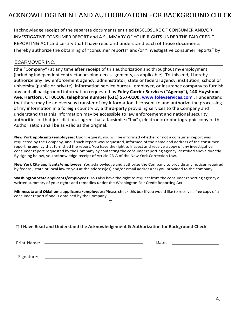## ACKNOWLEDGEMENT AND AUTHORIZATION FOR BACKGROUND CHECK

I acknowledge receipt of the separate documents entitled DISCLOSURE OF CONSUMER AND/OR INVESTIGATIVE CONSUMER REPORT and A SUMMARY OF YOUR RIGHTS UNDER THE FAIR CREDIT REPORTING ACT and certify that I have read and understand each of those documents. I hereby authorize the obtaining of "consumer reports" and/or "investigative consumer reports" by

### \_\_\_\_\_\_\_\_\_\_\_\_\_\_\_\_\_\_\_\_\_\_\_\_\_\_\_\_\_\_\_\_\_\_\_\_\_\_\_\_\_\_\_\_\_\_\_\_\_\_\_\_\_\_\_\_\_\_\_\_\_\_\_\_\_\_\_\_\_\_\_\_\_\_\_\_\_\_\_\_\_\_ ECARMOVER INC.

(the "Company") at any time after receipt of this authorization and throughout my employment, (including independent contractor or volunteer assignments, as applicable). To this end, I hereby authorize any law enforcement agency, administrator, state or federal agency, institution, school or university (public or private), information service bureau, employer, or insurance company to furnish any and all background information requested by **Foley Carrier Services ("Agency"), 140 Huyshope Ave, Hartford, CT 06106, telephone number (631) 557-0100, www.foleyservices.com** . I understand that there may be an overseas transfer of my information. I consent to and authorize the processing of my information in a foreign country by a third-party providing services to the Company and understand that this information may be accessible to law enforcement and national security authorities of that jurisdiction. I agree that a facsimile ("fax"), electronic or photographic copy of this Authorization shall be as valid as the original.

**New York applicants/employees:** Upon request, you will be informed whether or not a consumer report was requested by the Company, and if such report was requested, informed of the name and address of the consumer reporting agency that furnished the report. You have the right to inspect and receive a copy of any investigative consumer report requested by the Company by contacting the consumer reporting agency identified above directly. By signing below, you acknowledge receipt of Article 23-A of the New York Correction Law.

**New York City applicants/employees**: You acknowledge and authorize the Company to provide any notices required by federal, state or local law to you at the address(es) and/or email address(es) you provided to the company.

**Washington State applicants/employees:** You also have the right to request from the consumer reporting agency a written summary of your rights and remedies under the Washington Fair Credit Reporting Act.

**Minnesota and Oklahoma applicants/employees:** Please check this box if you would like to receive a free copy of a consumer report if one is obtained by the Company.

#### □ **I Have Read and Understand the Acknowledgement & Authorization for Background Check**

Print Name: Date:

Signature: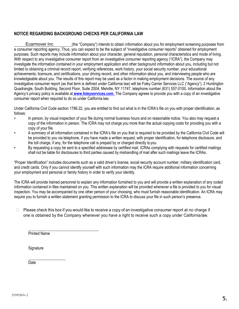#### **NOTICE REGARDING BACKGROUND CHECKS PER CALIFORNIA LAW**

(the "Company") intends to obtain information about you for employment screening purposes from a consumer reporting agency. Thus, you can expect to be the subject of "investigative consumer reports" obtained for employment purposes. Such reports may include information about your character, general reputation, personal characteristics and mode of living. With respect to any investigative consumer report from an investigative consumer reporting agency ("ICRA"), the Company may investigate the information contained in your employment application and other background information about you, including but not limited to obtaining a criminal record report, verifying references, work history, your social security number, your educational achievements, licensure, and certifications, your driving record, and other information about you, and interviewing people who are knowledgeable about you. The results of this report may be used as a factor in making employment decisions. The source of any investigative consumer report (as that term is defined under California law) will be Foley Carrier Services LLC ("Agency"), 2 Huntington Quadrangle, South Building, Second Floor, Suite 2S04, Melville, NY 11747, telephone number (631) 557-0100**.** Information about the Agency's privacy policy is available at **[www.foleyservices.com](http://www.foleyservices.com./)**. The Company agrees to provide you with a copy of an investigative consumer report when required to do so under California law. Ecarmover Inc

Under California Civil Code section 1786.22, you are entitled to find out what is in the ICRA's file on you with proper identification, as follows:

- In person, by visual inspection of your file during normal business hours and on reasonable notice. You also may request a copy of the information in person. The ICRA may not charge you more than the actual copying costs for providing you with a copy of your file.
- A summary of all information contained in the ICRA's file on you that is required to be provided by the California Civil Code will be provided to you via telephone, if you have made a written request, with proper identification, for telephone disclosure, and the toll charge, if any, for the telephone call is prepaid by or charged directly toyou.
- By requesting a copy be sent to a specified addressee by certified mail. ICRAs complying with requests for certified mailings shall not be liable for disclosures to third parties caused by mishandling of mail after such mailings leave the ICRAs.

"Proper Identification" includes documents such as a valid driver's license, social security account number, military identification card, and credit cards. Only if you cannot identify yourself with such information may the ICRA require additional information concerning your employment and personal or family history in order to verify your identity.

The ICRA will provide trained personnel to explain any information furnished to you and will provide a written explanation of any coded information contained in files maintained on you. This written explanation will be provided whenever a file is provided to you for visual inspection. You may be accompanied by one other person of your choosing, who must furnish reasonable identification. An ICRA may require you to furnish a written statement granting permission to the ICRA to discuss your file in such person's presence.

 $\Box$  Please check this box if you would like to receive a copy of an investigative consumer report at no charge if one is obtained by the Company whenever you have a right to receive such a copy under California law.

Printed Name

**Signature** 

Date